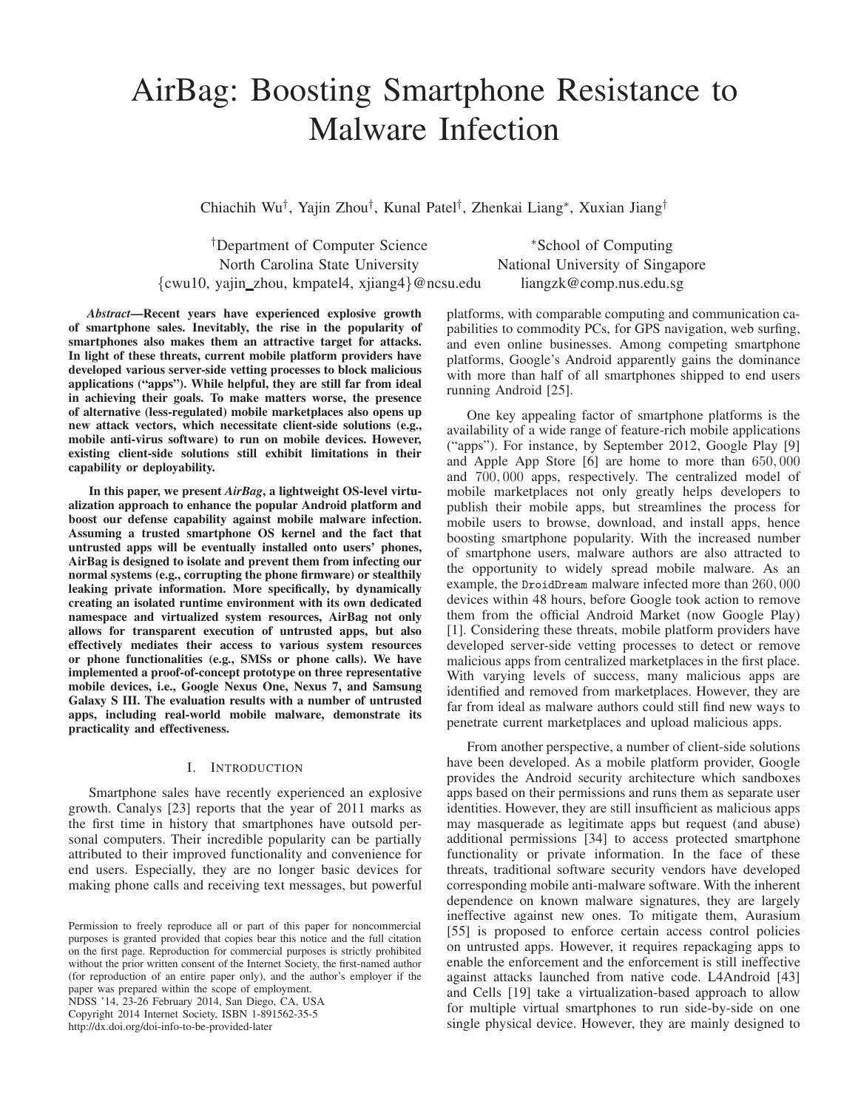# AirBag: Boosting Smartphone Resistance to Malware Infection

Chiachih Wu† , Yajin Zhou† , Kunal Patel† , Zhenkai Liang<sup>∗</sup> , Xuxian Jiang†

†Department of Computer Science <sup>∗</sup>School of Computing North Carolina State University National University of Singapore {cwu10, yajin zhou, kmpatel4, xjiang4}@ncsu.edu liangzk@comp.nus.edu.sg

*Abstract***—Recent years have experienced explosive growth of smartphone sales. Inevitably, the rise in the popularity of smartphones also makes them an attractive target for attacks. In light of these threats, current mobile platform providers have developed various server-side vetting processes to block malicious applications ("apps"). While helpful, they are still far from ideal in achieving their goals. To make matters worse, the presence of alternative (less-regulated) mobile marketplaces also opens up new attack vectors, which necessitate client-side solutions (e.g., mobile anti-virus software) to run on mobile devices. However, existing client-side solutions still exhibit limitations in their capability or deployability.**

**In this paper, we present** *AirBag***, a lightweight OS-level virtualization approach to enhance the popular Android platform and boost our defense capability against mobile malware infection. Assuming a trusted smartphone OS kernel and the fact that untrusted apps will be eventually installed onto users' phones, AirBag is designed to isolate and prevent them from infecting our normal systems (e.g., corrupting the phone firmware) or stealthily leaking private information. More specifically, by dynamically creating an isolated runtime environment with its own dedicated namespace and virtualized system resources, AirBag not only allows for transparent execution of untrusted apps, but also effectively mediates their access to various system resources or phone functionalities (e.g., SMSs or phone calls). We have implemented a proof-of-concept prototype on three representative mobile devices, i.e., Google Nexus One, Nexus 7, and Samsung Galaxy S III. The evaluation results with a number of untrusted apps, including real-world mobile malware, demonstrate its practicality and effectiveness.**

# I. INTRODUCTION

Smartphone sales have recently experienced an explosive growth. Canalys [23] reports that the year of 2011 marks as the first time in history that smartphones have outsold personal computers. Their incredible popularity can be partially attributed to their improved functionality and convenience for end users. Especially, they are no longer basic devices for making phone calls and receiving text messages, but powerful

NDSS '14, 23-26 February 2014, San Diego, CA, USA Copyright 2014 Internet Society, ISBN 1-891562-35-5

http://dx.doi.org/doi-info-to-be-provided-later

platforms, with comparable computing and communication capabilities to commodity PCs, for GPS navigation, web surfing, and even online businesses. Among competing smartphone platforms, Google's Android apparently gains the dominance with more than half of all smartphones shipped to end users running Android [25].

One key appealing factor of smartphone platforms is the availability of a wide range of feature-rich mobile applications ("apps"). For instance, by September 2012, Google Play [9] and Apple App Store [6] are home to more than 650, 000 and 700, 000 apps, respectively. The centralized model of mobile marketplaces not only greatly helps developers to publish their mobile apps, but streamlines the process for mobile users to browse, download, and install apps, hence boosting smartphone popularity. With the increased number of smartphone users, malware authors are also attracted to the opportunity to widely spread mobile malware. As an example, the DroidDream malware infected more than 260, 000 devices within 48 hours, before Google took action to remove them from the official Android Market (now Google Play) [1]. Considering these threats, mobile platform providers have developed server-side vetting processes to detect or remove malicious apps from centralized marketplaces in the first place. With varying levels of success, many malicious apps are identified and removed from marketplaces. However, they are far from ideal as malware authors could still find new ways to penetrate current marketplaces and upload malicious apps.

From another perspective, a number of client-side solutions have been developed. As a mobile platform provider, Google provides the Android security architecture which sandboxes apps based on their permissions and runs them as separate user identities. However, they are still insufficient as malicious apps may masquerade as legitimate apps but request (and abuse) additional permissions [34] to access protected smartphone functionality or private information. In the face of these threats, traditional software security vendors have developed corresponding mobile anti-malware software. With the inherent dependence on known malware signatures, they are largely ineffective against new ones. To mitigate them, Aurasium [55] is proposed to enforce certain access control policies on untrusted apps. However, it requires repackaging apps to enable the enforcement and the enforcement is still ineffective against attacks launched from native code. L4Android [43] and Cells [19] take a virtualization-based approach to allow for multiple virtual smartphones to run side-by-side on one single physical device. However, they are mainly designed to

Permission to freely reproduce all or part of this paper for noncommercial purposes is granted provided that copies bear this notice and the full citation on the first page. Reproduction for commercial purposes is strictly prohibited without the prior written consent of the Internet Society, the first-named author (for reproduction of an entire paper only), and the author's employer if the paper was prepared within the scope of employment.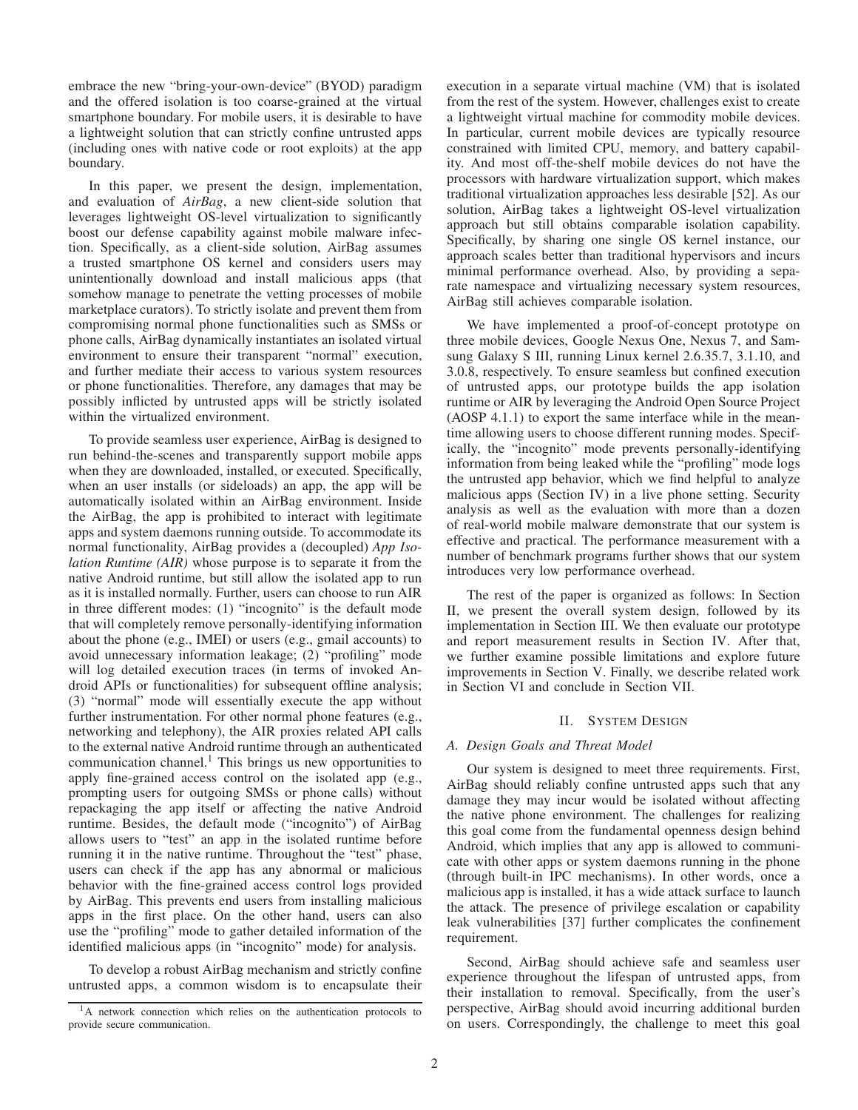embrace the new "bring-your-own-device" (BYOD) paradigm and the offered isolation is too coarse-grained at the virtual smartphone boundary. For mobile users, it is desirable to have a lightweight solution that can strictly confine untrusted apps (including ones with native code or root exploits) at the app boundary.

In this paper, we present the design, implementation, and evaluation of *AirBag*, a new client-side solution that leverages lightweight OS-level virtualization to significantly boost our defense capability against mobile malware infection. Specifically, as a client-side solution, AirBag assumes a trusted smartphone OS kernel and considers users may unintentionally download and install malicious apps (that somehow manage to penetrate the vetting processes of mobile marketplace curators). To strictly isolate and prevent them from compromising normal phone functionalities such as SMSs or phone calls, AirBag dynamically instantiates an isolated virtual environment to ensure their transparent "normal" execution, and further mediate their access to various system resources or phone functionalities. Therefore, any damages that may be possibly inflicted by untrusted apps will be strictly isolated within the virtualized environment.

To provide seamless user experience, AirBag is designed to run behind-the-scenes and transparently support mobile apps when they are downloaded, installed, or executed. Specifically, when an user installs (or sideloads) an app, the app will be automatically isolated within an AirBag environment. Inside the AirBag, the app is prohibited to interact with legitimate apps and system daemons running outside. To accommodate its normal functionality, AirBag provides a (decoupled) *App Isolation Runtime (AIR)* whose purpose is to separate it from the native Android runtime, but still allow the isolated app to run as it is installed normally. Further, users can choose to run AIR in three different modes: (1) "incognito" is the default mode that will completely remove personally-identifying information about the phone (e.g., IMEI) or users (e.g., gmail accounts) to avoid unnecessary information leakage; (2) "profiling" mode will log detailed execution traces (in terms of invoked Android APIs or functionalities) for subsequent offline analysis; (3) "normal" mode will essentially execute the app without further instrumentation. For other normal phone features (e.g., networking and telephony), the AIR proxies related API calls to the external native Android runtime through an authenticated communication channel.<sup>1</sup> This brings us new opportunities to apply fine-grained access control on the isolated app (e.g., prompting users for outgoing SMSs or phone calls) without repackaging the app itself or affecting the native Android runtime. Besides, the default mode ("incognito") of AirBag allows users to "test" an app in the isolated runtime before running it in the native runtime. Throughout the "test" phase, users can check if the app has any abnormal or malicious behavior with the fine-grained access control logs provided by AirBag. This prevents end users from installing malicious apps in the first place. On the other hand, users can also use the "profiling" mode to gather detailed information of the identified malicious apps (in "incognito" mode) for analysis.

To develop a robust AirBag mechanism and strictly confine untrusted apps, a common wisdom is to encapsulate their execution in a separate virtual machine (VM) that is isolated from the rest of the system. However, challenges exist to create a lightweight virtual machine for commodity mobile devices. In particular, current mobile devices are typically resource constrained with limited CPU, memory, and battery capability. And most off-the-shelf mobile devices do not have the processors with hardware virtualization support, which makes traditional virtualization approaches less desirable [52]. As our solution, AirBag takes a lightweight OS-level virtualization approach but still obtains comparable isolation capability. Specifically, by sharing one single OS kernel instance, our approach scales better than traditional hypervisors and incurs minimal performance overhead. Also, by providing a separate namespace and virtualizing necessary system resources, AirBag still achieves comparable isolation.

We have implemented a proof-of-concept prototype on three mobile devices, Google Nexus One, Nexus 7, and Samsung Galaxy S III, running Linux kernel 2.6.35.7, 3.1.10, and 3.0.8, respectively. To ensure seamless but confined execution of untrusted apps, our prototype builds the app isolation runtime or AIR by leveraging the Android Open Source Project (AOSP 4.1.1) to export the same interface while in the meantime allowing users to choose different running modes. Specifically, the "incognito" mode prevents personally-identifying information from being leaked while the "profiling" mode logs the untrusted app behavior, which we find helpful to analyze malicious apps (Section IV) in a live phone setting. Security analysis as well as the evaluation with more than a dozen of real-world mobile malware demonstrate that our system is effective and practical. The performance measurement with a number of benchmark programs further shows that our system introduces very low performance overhead.

The rest of the paper is organized as follows: In Section II, we present the overall system design, followed by its implementation in Section III. We then evaluate our prototype and report measurement results in Section IV. After that, we further examine possible limitations and explore future improvements in Section V. Finally, we describe related work in Section VI and conclude in Section VII.

## II. SYSTEM DESIGN

## *A. Design Goals and Threat Model*

Our system is designed to meet three requirements. First, AirBag should reliably confine untrusted apps such that any damage they may incur would be isolated without affecting the native phone environment. The challenges for realizing this goal come from the fundamental openness design behind Android, which implies that any app is allowed to communicate with other apps or system daemons running in the phone (through built-in IPC mechanisms). In other words, once a malicious app is installed, it has a wide attack surface to launch the attack. The presence of privilege escalation or capability leak vulnerabilities [37] further complicates the confinement requirement.

Second, AirBag should achieve safe and seamless user experience throughout the lifespan of untrusted apps, from their installation to removal. Specifically, from the user's perspective, AirBag should avoid incurring additional burden on users. Correspondingly, the challenge to meet this goal

<sup>&</sup>lt;sup>1</sup>A network connection which relies on the authentication protocols to provide secure communication.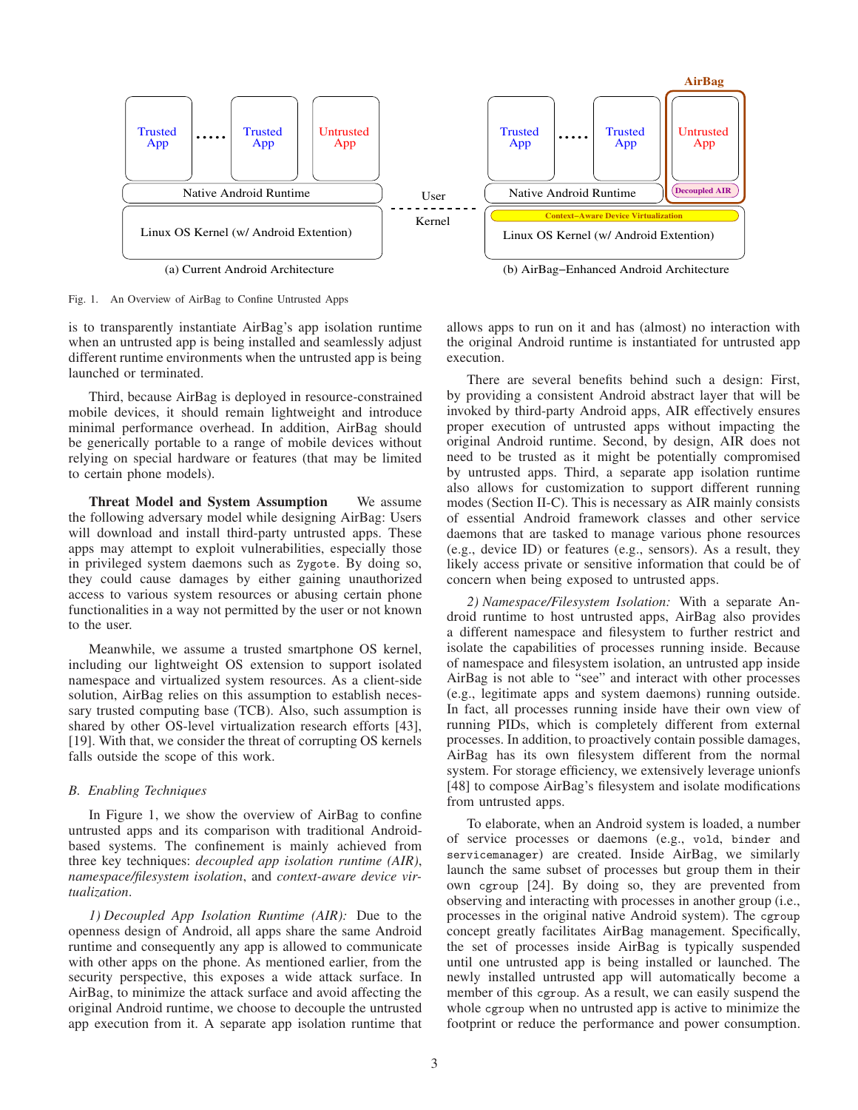

Fig. 1. An Overview of AirBag to Confine Untrusted Apps

is to transparently instantiate AirBag's app isolation runtime when an untrusted app is being installed and seamlessly adjust different runtime environments when the untrusted app is being launched or terminated.

Third, because AirBag is deployed in resource-constrained mobile devices, it should remain lightweight and introduce minimal performance overhead. In addition, AirBag should be generically portable to a range of mobile devices without relying on special hardware or features (that may be limited to certain phone models).

**Threat Model and System Assumption** We assume the following adversary model while designing AirBag: Users will download and install third-party untrusted apps. These apps may attempt to exploit vulnerabilities, especially those in privileged system daemons such as Zygote. By doing so, they could cause damages by either gaining unauthorized access to various system resources or abusing certain phone functionalities in a way not permitted by the user or not known to the user.

Meanwhile, we assume a trusted smartphone OS kernel, including our lightweight OS extension to support isolated namespace and virtualized system resources. As a client-side solution, AirBag relies on this assumption to establish necessary trusted computing base (TCB). Also, such assumption is shared by other OS-level virtualization research efforts [43], [19]. With that, we consider the threat of corrupting OS kernels falls outside the scope of this work.

## *B. Enabling Techniques*

In Figure 1, we show the overview of AirBag to confine untrusted apps and its comparison with traditional Androidbased systems. The confinement is mainly achieved from three key techniques: *decoupled app isolation runtime (AIR)*, *namespace/filesystem isolation*, and *context-aware device virtualization*.

*1) Decoupled App Isolation Runtime (AIR):* Due to the openness design of Android, all apps share the same Android runtime and consequently any app is allowed to communicate with other apps on the phone. As mentioned earlier, from the security perspective, this exposes a wide attack surface. In AirBag, to minimize the attack surface and avoid affecting the original Android runtime, we choose to decouple the untrusted app execution from it. A separate app isolation runtime that allows apps to run on it and has (almost) no interaction with the original Android runtime is instantiated for untrusted app execution.

There are several benefits behind such a design: First, by providing a consistent Android abstract layer that will be invoked by third-party Android apps, AIR effectively ensures proper execution of untrusted apps without impacting the original Android runtime. Second, by design, AIR does not need to be trusted as it might be potentially compromised by untrusted apps. Third, a separate app isolation runtime also allows for customization to support different running modes (Section II-C). This is necessary as AIR mainly consists of essential Android framework classes and other service daemons that are tasked to manage various phone resources (e.g., device ID) or features (e.g., sensors). As a result, they likely access private or sensitive information that could be of concern when being exposed to untrusted apps.

*2) Namespace/Filesystem Isolation:* With a separate Android runtime to host untrusted apps, AirBag also provides a different namespace and filesystem to further restrict and isolate the capabilities of processes running inside. Because of namespace and filesystem isolation, an untrusted app inside AirBag is not able to "see" and interact with other processes (e.g., legitimate apps and system daemons) running outside. In fact, all processes running inside have their own view of running PIDs, which is completely different from external processes. In addition, to proactively contain possible damages, AirBag has its own filesystem different from the normal system. For storage efficiency, we extensively leverage unionfs [48] to compose AirBag's filesystem and isolate modifications from untrusted apps.

To elaborate, when an Android system is loaded, a number of service processes or daemons (e.g., vold, binder and servicemanager) are created. Inside AirBag, we similarly launch the same subset of processes but group them in their own cgroup [24]. By doing so, they are prevented from observing and interacting with processes in another group (i.e., processes in the original native Android system). The cgroup concept greatly facilitates AirBag management. Specifically, the set of processes inside AirBag is typically suspended until one untrusted app is being installed or launched. The newly installed untrusted app will automatically become a member of this cgroup. As a result, we can easily suspend the whole cgroup when no untrusted app is active to minimize the footprint or reduce the performance and power consumption.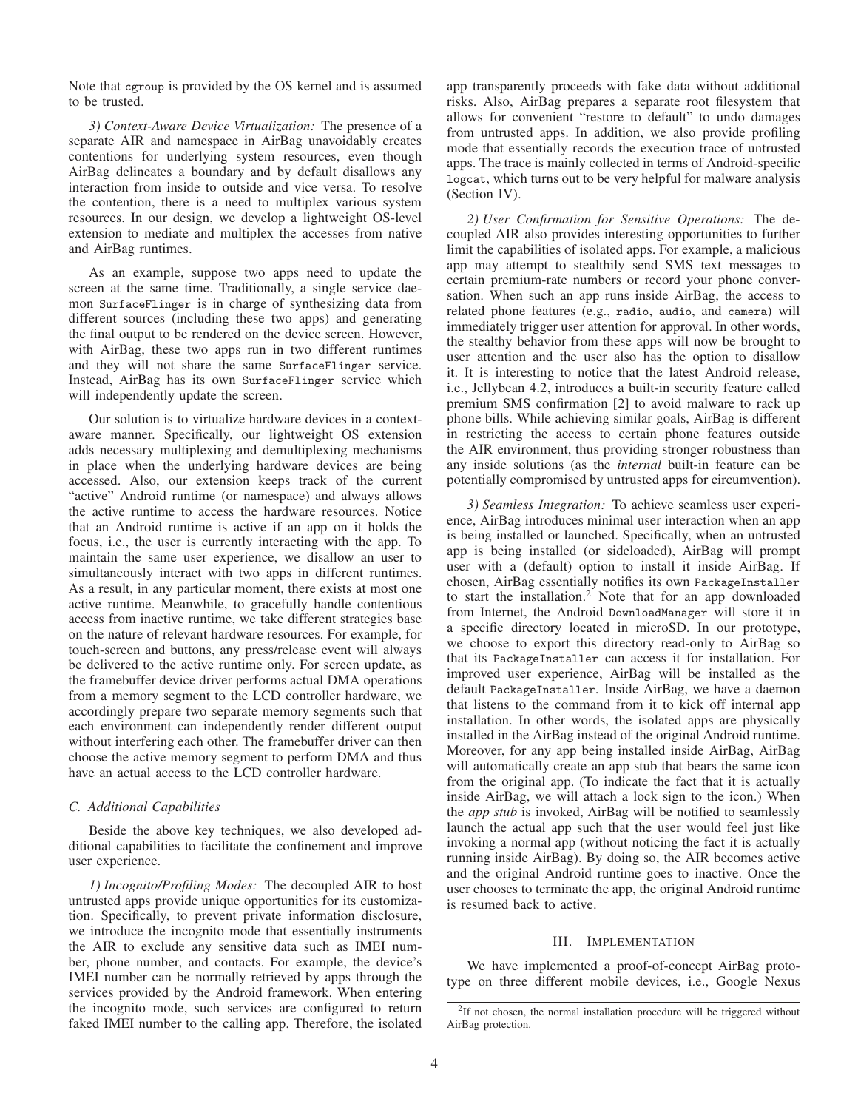Note that cgroup is provided by the OS kernel and is assumed to be trusted.

*3) Context-Aware Device Virtualization:* The presence of a separate AIR and namespace in AirBag unavoidably creates contentions for underlying system resources, even though AirBag delineates a boundary and by default disallows any interaction from inside to outside and vice versa. To resolve the contention, there is a need to multiplex various system resources. In our design, we develop a lightweight OS-level extension to mediate and multiplex the accesses from native and AirBag runtimes.

As an example, suppose two apps need to update the screen at the same time. Traditionally, a single service daemon SurfaceFlinger is in charge of synthesizing data from different sources (including these two apps) and generating the final output to be rendered on the device screen. However, with AirBag, these two apps run in two different runtimes and they will not share the same SurfaceFlinger service. Instead, AirBag has its own SurfaceFlinger service which will independently update the screen.

Our solution is to virtualize hardware devices in a contextaware manner. Specifically, our lightweight OS extension adds necessary multiplexing and demultiplexing mechanisms in place when the underlying hardware devices are being accessed. Also, our extension keeps track of the current "active" Android runtime (or namespace) and always allows the active runtime to access the hardware resources. Notice that an Android runtime is active if an app on it holds the focus, i.e., the user is currently interacting with the app. To maintain the same user experience, we disallow an user to simultaneously interact with two apps in different runtimes. As a result, in any particular moment, there exists at most one active runtime. Meanwhile, to gracefully handle contentious access from inactive runtime, we take different strategies base on the nature of relevant hardware resources. For example, for touch-screen and buttons, any press/release event will always be delivered to the active runtime only. For screen update, as the framebuffer device driver performs actual DMA operations from a memory segment to the LCD controller hardware, we accordingly prepare two separate memory segments such that each environment can independently render different output without interfering each other. The framebuffer driver can then choose the active memory segment to perform DMA and thus have an actual access to the LCD controller hardware.

## *C. Additional Capabilities*

Beside the above key techniques, we also developed additional capabilities to facilitate the confinement and improve user experience.

*1) Incognito/Profiling Modes:* The decoupled AIR to host untrusted apps provide unique opportunities for its customization. Specifically, to prevent private information disclosure, we introduce the incognito mode that essentially instruments the AIR to exclude any sensitive data such as IMEI number, phone number, and contacts. For example, the device's IMEI number can be normally retrieved by apps through the services provided by the Android framework. When entering the incognito mode, such services are configured to return faked IMEI number to the calling app. Therefore, the isolated app transparently proceeds with fake data without additional risks. Also, AirBag prepares a separate root filesystem that allows for convenient "restore to default" to undo damages from untrusted apps. In addition, we also provide profiling mode that essentially records the execution trace of untrusted apps. The trace is mainly collected in terms of Android-specific logcat, which turns out to be very helpful for malware analysis (Section IV).

*2) User Confirmation for Sensitive Operations:* The decoupled AIR also provides interesting opportunities to further limit the capabilities of isolated apps. For example, a malicious app may attempt to stealthily send SMS text messages to certain premium-rate numbers or record your phone conversation. When such an app runs inside AirBag, the access to related phone features (e.g., radio, audio, and camera) will immediately trigger user attention for approval. In other words, the stealthy behavior from these apps will now be brought to user attention and the user also has the option to disallow it. It is interesting to notice that the latest Android release, i.e., Jellybean 4.2, introduces a built-in security feature called premium SMS confirmation [2] to avoid malware to rack up phone bills. While achieving similar goals, AirBag is different in restricting the access to certain phone features outside the AIR environment, thus providing stronger robustness than any inside solutions (as the *internal* built-in feature can be potentially compromised by untrusted apps for circumvention).

*3) Seamless Integration:* To achieve seamless user experience, AirBag introduces minimal user interaction when an app is being installed or launched. Specifically, when an untrusted app is being installed (or sideloaded), AirBag will prompt user with a (default) option to install it inside AirBag. If chosen, AirBag essentially notifies its own PackageInstaller to start the installation.<sup>2</sup> Note that for an app downloaded from Internet, the Android DownloadManager will store it in a specific directory located in microSD. In our prototype, we choose to export this directory read-only to AirBag so that its PackageInstaller can access it for installation. For improved user experience, AirBag will be installed as the default PackageInstaller. Inside AirBag, we have a daemon that listens to the command from it to kick off internal app installation. In other words, the isolated apps are physically installed in the AirBag instead of the original Android runtime. Moreover, for any app being installed inside AirBag, AirBag will automatically create an app stub that bears the same icon from the original app. (To indicate the fact that it is actually inside AirBag, we will attach a lock sign to the icon.) When the *app stub* is invoked, AirBag will be notified to seamlessly launch the actual app such that the user would feel just like invoking a normal app (without noticing the fact it is actually running inside AirBag). By doing so, the AIR becomes active and the original Android runtime goes to inactive. Once the user chooses to terminate the app, the original Android runtime is resumed back to active.

# III. IMPLEMENTATION

We have implemented a proof-of-concept AirBag prototype on three different mobile devices, i.e., Google Nexus

 $2$ If not chosen, the normal installation procedure will be triggered without AirBag protection.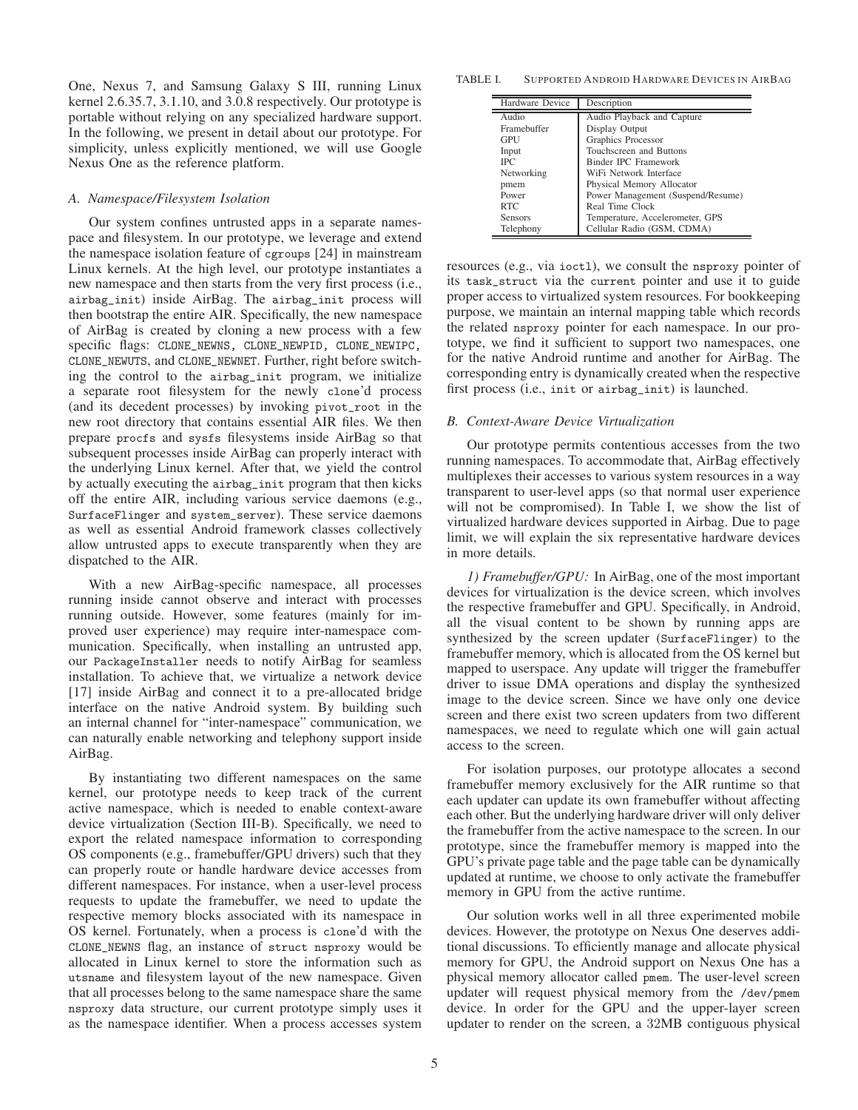One, Nexus 7, and Samsung Galaxy S III, running Linux kernel 2.6.35.7, 3.1.10, and 3.0.8 respectively. Our prototype is portable without relying on any specialized hardware support. In the following, we present in detail about our prototype. For simplicity, unless explicitly mentioned, we will use Google Nexus One as the reference platform.

#### *A. Namespace/Filesystem Isolation*

Our system confines untrusted apps in a separate namespace and filesystem. In our prototype, we leverage and extend the namespace isolation feature of cgroups [24] in mainstream Linux kernels. At the high level, our prototype instantiates a new namespace and then starts from the very first process (i.e., airbag\_init) inside AirBag. The airbag\_init process will then bootstrap the entire AIR. Specifically, the new namespace of AirBag is created by cloning a new process with a few specific flags: CLONE\_NEWNS, CLONE\_NEWPID, CLONE\_NEWIPC, CLONE\_NEWUTS, and CLONE\_NEWNET. Further, right before switching the control to the airbag\_init program, we initialize a separate root filesystem for the newly clone'd process (and its decedent processes) by invoking pivot\_root in the new root directory that contains essential AIR files. We then prepare procfs and sysfs filesystems inside AirBag so that subsequent processes inside AirBag can properly interact with the underlying Linux kernel. After that, we yield the control by actually executing the airbag\_init program that then kicks off the entire AIR, including various service daemons (e.g., SurfaceFlinger and system\_server). These service daemons as well as essential Android framework classes collectively allow untrusted apps to execute transparently when they are dispatched to the AIR.

With a new AirBag-specific namespace, all processes running inside cannot observe and interact with processes running outside. However, some features (mainly for improved user experience) may require inter-namespace communication. Specifically, when installing an untrusted app, our PackageInstaller needs to notify AirBag for seamless installation. To achieve that, we virtualize a network device [17] inside AirBag and connect it to a pre-allocated bridge interface on the native Android system. By building such an internal channel for "inter-namespace" communication, we can naturally enable networking and telephony support inside AirBag.

By instantiating two different namespaces on the same kernel, our prototype needs to keep track of the current active namespace, which is needed to enable context-aware device virtualization (Section III-B). Specifically, we need to export the related namespace information to corresponding OS components (e.g., framebuffer/GPU drivers) such that they can properly route or handle hardware device accesses from different namespaces. For instance, when a user-level process requests to update the framebuffer, we need to update the respective memory blocks associated with its namespace in OS kernel. Fortunately, when a process is clone'd with the CLONE\_NEWNS flag, an instance of struct nsproxy would be allocated in Linux kernel to store the information such as utsname and filesystem layout of the new namespace. Given that all processes belong to the same namespace share the same nsproxy data structure, our current prototype simply uses it as the namespace identifier. When a process accesses system

TABLE I. SUPPORTED ANDROID HARDWARE DEVICES IN AIRBAG

| Hardware Device         | Description                       |
|-------------------------|-----------------------------------|
| $Au\overline{di\alpha}$ | Audio Playback and Capture        |
| Framebuffer             | Display Output                    |
| <b>GPU</b>              | Graphics Processor                |
| Input                   | Touchscreen and Buttons           |
| IPC                     | Binder IPC Framework              |
| Networking              | WiFi Network Interface            |
| pmem                    | Physical Memory Allocator         |
| Power                   | Power Management (Suspend/Resume) |
| <b>RTC</b>              | Real Time Clock                   |
| <b>Sensors</b>          | Temperature, Accelerometer, GPS   |
| Telephony               | Cellular Radio (GSM, CDMA)        |

resources (e.g., via ioctl), we consult the nsproxy pointer of its task\_struct via the current pointer and use it to guide proper access to virtualized system resources. For bookkeeping purpose, we maintain an internal mapping table which records the related nsproxy pointer for each namespace. In our prototype, we find it sufficient to support two namespaces, one for the native Android runtime and another for AirBag. The corresponding entry is dynamically created when the respective first process (i.e., init or airbag\_init) is launched.

## *B. Context-Aware Device Virtualization*

Our prototype permits contentious accesses from the two running namespaces. To accommodate that, AirBag effectively multiplexes their accesses to various system resources in a way transparent to user-level apps (so that normal user experience will not be compromised). In Table I, we show the list of virtualized hardware devices supported in Airbag. Due to page limit, we will explain the six representative hardware devices in more details.

*1) Framebuffer/GPU:* In AirBag, one of the most important devices for virtualization is the device screen, which involves the respective framebuffer and GPU. Specifically, in Android, all the visual content to be shown by running apps are synthesized by the screen updater (SurfaceFlinger) to the framebuffer memory, which is allocated from the OS kernel but mapped to userspace. Any update will trigger the framebuffer driver to issue DMA operations and display the synthesized image to the device screen. Since we have only one device screen and there exist two screen updaters from two different namespaces, we need to regulate which one will gain actual access to the screen.

For isolation purposes, our prototype allocates a second framebuffer memory exclusively for the AIR runtime so that each updater can update its own framebuffer without affecting each other. But the underlying hardware driver will only deliver the framebuffer from the active namespace to the screen. In our prototype, since the framebuffer memory is mapped into the GPU's private page table and the page table can be dynamically updated at runtime, we choose to only activate the framebuffer memory in GPU from the active runtime.

Our solution works well in all three experimented mobile devices. However, the prototype on Nexus One deserves additional discussions. To efficiently manage and allocate physical memory for GPU, the Android support on Nexus One has a physical memory allocator called pmem. The user-level screen updater will request physical memory from the /dev/pmem device. In order for the GPU and the upper-layer screen updater to render on the screen, a 32MB contiguous physical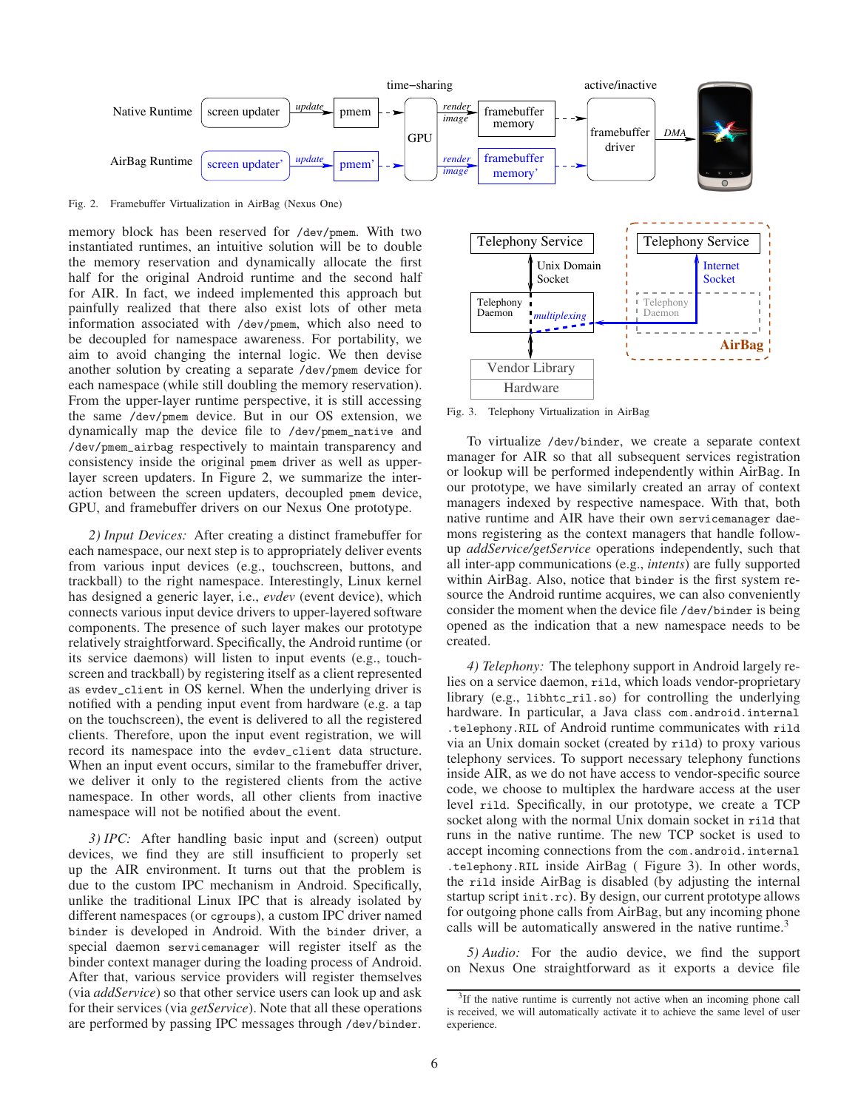

Fig. 2. Framebuffer Virtualization in AirBag (Nexus One)

memory block has been reserved for /dev/pmem. With two instantiated runtimes, an intuitive solution will be to double the memory reservation and dynamically allocate the first half for the original Android runtime and the second half for AIR. In fact, we indeed implemented this approach but painfully realized that there also exist lots of other meta information associated with /dev/pmem, which also need to be decoupled for namespace awareness. For portability, we aim to avoid changing the internal logic. We then devise another solution by creating a separate /dev/pmem device for each namespace (while still doubling the memory reservation). From the upper-layer runtime perspective, it is still accessing the same /dev/pmem device. But in our OS extension, we dynamically map the device file to /dev/pmem\_native and /dev/pmem\_airbag respectively to maintain transparency and consistency inside the original pmem driver as well as upperlayer screen updaters. In Figure 2, we summarize the interaction between the screen updaters, decoupled pmem device, GPU, and framebuffer drivers on our Nexus One prototype.

*2) Input Devices:* After creating a distinct framebuffer for each namespace, our next step is to appropriately deliver events from various input devices (e.g., touchscreen, buttons, and trackball) to the right namespace. Interestingly, Linux kernel has designed a generic layer, i.e., *evdev* (event device), which connects various input device drivers to upper-layered software components. The presence of such layer makes our prototype relatively straightforward. Specifically, the Android runtime (or its service daemons) will listen to input events (e.g., touchscreen and trackball) by registering itself as a client represented as evdev\_client in OS kernel. When the underlying driver is notified with a pending input event from hardware (e.g. a tap on the touchscreen), the event is delivered to all the registered clients. Therefore, upon the input event registration, we will record its namespace into the evdev\_client data structure. When an input event occurs, similar to the framebuffer driver, we deliver it only to the registered clients from the active namespace. In other words, all other clients from inactive namespace will not be notified about the event.

*3) IPC:* After handling basic input and (screen) output devices, we find they are still insufficient to properly set up the AIR environment. It turns out that the problem is due to the custom IPC mechanism in Android. Specifically, unlike the traditional Linux IPC that is already isolated by different namespaces (or cgroups), a custom IPC driver named binder is developed in Android. With the binder driver, a special daemon servicemanager will register itself as the binder context manager during the loading process of Android. After that, various service providers will register themselves (via *addService*) so that other service users can look up and ask for their services (via *getService*). Note that all these operations are performed by passing IPC messages through /dev/binder.



Fig. 3. Telephony Virtualization in AirBag

To virtualize /dev/binder, we create a separate context manager for AIR so that all subsequent services registration or lookup will be performed independently within AirBag. In our prototype, we have similarly created an array of context managers indexed by respective namespace. With that, both native runtime and AIR have their own servicemanager daemons registering as the context managers that handle followup *addService/getService* operations independently, such that all inter-app communications (e.g., *intents*) are fully supported within AirBag. Also, notice that binder is the first system resource the Android runtime acquires, we can also conveniently consider the moment when the device file /dev/binder is being opened as the indication that a new namespace needs to be created.

*4) Telephony:* The telephony support in Android largely relies on a service daemon, rild, which loads vendor-proprietary library (e.g., libhtc\_ril.so) for controlling the underlying hardware. In particular, a Java class com.android.internal .telephony.RIL of Android runtime communicates with rild via an Unix domain socket (created by rild) to proxy various telephony services. To support necessary telephony functions inside AIR, as we do not have access to vendor-specific source code, we choose to multiplex the hardware access at the user level rild. Specifically, in our prototype, we create a TCP socket along with the normal Unix domain socket in rild that runs in the native runtime. The new TCP socket is used to accept incoming connections from the com.android.internal .telephony.RIL inside AirBag ( Figure 3). In other words, the rild inside AirBag is disabled (by adjusting the internal startup script init.rc). By design, our current prototype allows for outgoing phone calls from AirBag, but any incoming phone calls will be automatically answered in the native runtime.<sup>3</sup>

*5) Audio:* For the audio device, we find the support on Nexus One straightforward as it exports a device file

<sup>&</sup>lt;sup>3</sup>If the native runtime is currently not active when an incoming phone call is received, we will automatically activate it to achieve the same level of user experience.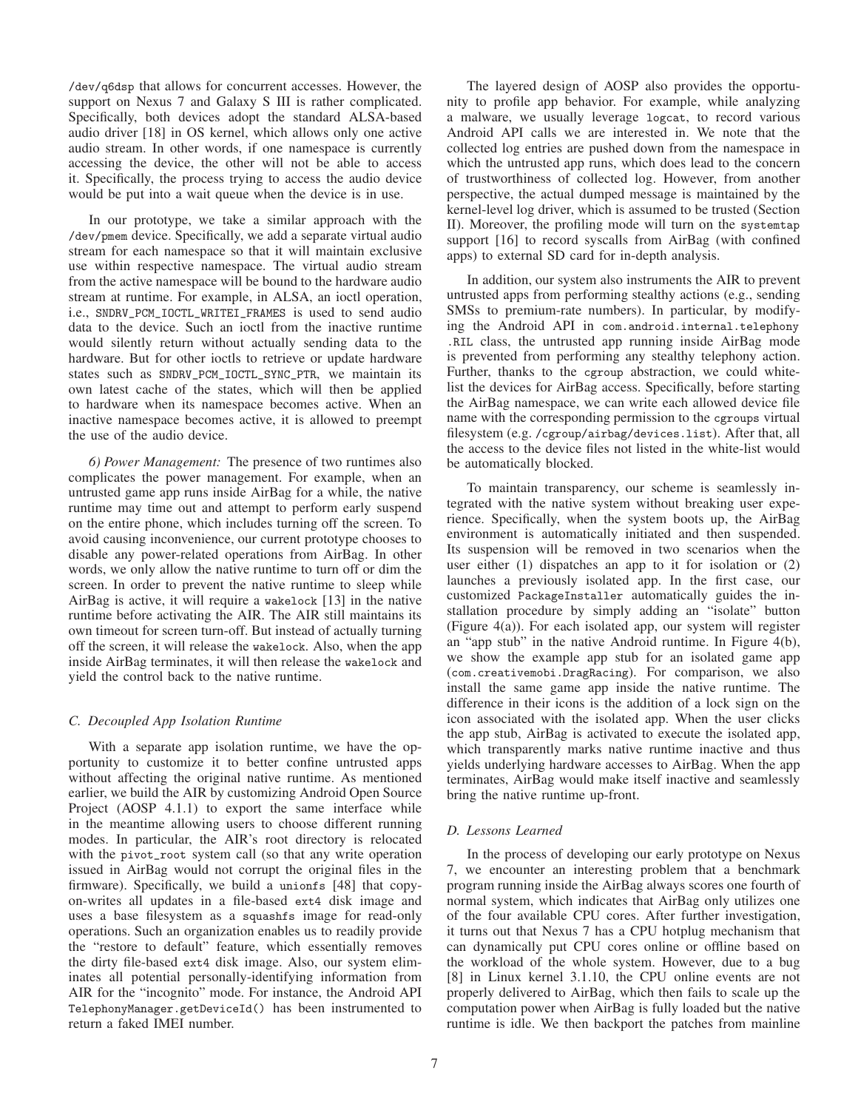/dev/q6dsp that allows for concurrent accesses. However, the support on Nexus 7 and Galaxy S III is rather complicated. Specifically, both devices adopt the standard ALSA-based audio driver [18] in OS kernel, which allows only one active audio stream. In other words, if one namespace is currently accessing the device, the other will not be able to access it. Specifically, the process trying to access the audio device would be put into a wait queue when the device is in use.

In our prototype, we take a similar approach with the /dev/pmem device. Specifically, we add a separate virtual audio stream for each namespace so that it will maintain exclusive use within respective namespace. The virtual audio stream from the active namespace will be bound to the hardware audio stream at runtime. For example, in ALSA, an ioctl operation, i.e., SNDRV\_PCM\_IOCTL\_WRITEI\_FRAMES is used to send audio data to the device. Such an ioctl from the inactive runtime would silently return without actually sending data to the hardware. But for other ioctls to retrieve or update hardware states such as SNDRV\_PCM\_IOCTL\_SYNC\_PTR, we maintain its own latest cache of the states, which will then be applied to hardware when its namespace becomes active. When an inactive namespace becomes active, it is allowed to preempt the use of the audio device.

*6) Power Management:* The presence of two runtimes also complicates the power management. For example, when an untrusted game app runs inside AirBag for a while, the native runtime may time out and attempt to perform early suspend on the entire phone, which includes turning off the screen. To avoid causing inconvenience, our current prototype chooses to disable any power-related operations from AirBag. In other words, we only allow the native runtime to turn off or dim the screen. In order to prevent the native runtime to sleep while AirBag is active, it will require a wakelock [13] in the native runtime before activating the AIR. The AIR still maintains its own timeout for screen turn-off. But instead of actually turning off the screen, it will release the wakelock. Also, when the app inside AirBag terminates, it will then release the wakelock and yield the control back to the native runtime.

## *C. Decoupled App Isolation Runtime*

With a separate app isolation runtime, we have the opportunity to customize it to better confine untrusted apps without affecting the original native runtime. As mentioned earlier, we build the AIR by customizing Android Open Source Project (AOSP 4.1.1) to export the same interface while in the meantime allowing users to choose different running modes. In particular, the AIR's root directory is relocated with the pivot\_root system call (so that any write operation issued in AirBag would not corrupt the original files in the firmware). Specifically, we build a unionfs [48] that copyon-writes all updates in a file-based ext4 disk image and uses a base filesystem as a squashfs image for read-only operations. Such an organization enables us to readily provide the "restore to default" feature, which essentially removes the dirty file-based ext4 disk image. Also, our system eliminates all potential personally-identifying information from AIR for the "incognito" mode. For instance, the Android API TelephonyManager.getDeviceId() has been instrumented to return a faked IMEI number.

The layered design of AOSP also provides the opportunity to profile app behavior. For example, while analyzing a malware, we usually leverage logcat, to record various Android API calls we are interested in. We note that the collected log entries are pushed down from the namespace in which the untrusted app runs, which does lead to the concern of trustworthiness of collected log. However, from another perspective, the actual dumped message is maintained by the kernel-level log driver, which is assumed to be trusted (Section II). Moreover, the profiling mode will turn on the systemtap support [16] to record syscalls from AirBag (with confined apps) to external SD card for in-depth analysis.

In addition, our system also instruments the AIR to prevent untrusted apps from performing stealthy actions (e.g., sending SMSs to premium-rate numbers). In particular, by modifying the Android API in com.android.internal.telephony .RIL class, the untrusted app running inside AirBag mode is prevented from performing any stealthy telephony action. Further, thanks to the cgroup abstraction, we could whitelist the devices for AirBag access. Specifically, before starting the AirBag namespace, we can write each allowed device file name with the corresponding permission to the cgroups virtual filesystem (e.g. /cgroup/airbag/devices.list). After that, all the access to the device files not listed in the white-list would be automatically blocked.

To maintain transparency, our scheme is seamlessly integrated with the native system without breaking user experience. Specifically, when the system boots up, the AirBag environment is automatically initiated and then suspended. Its suspension will be removed in two scenarios when the user either (1) dispatches an app to it for isolation or (2) launches a previously isolated app. In the first case, our customized PackageInstaller automatically guides the installation procedure by simply adding an "isolate" button (Figure 4(a)). For each isolated app, our system will register an "app stub" in the native Android runtime. In Figure 4(b), we show the example app stub for an isolated game app (com.creativemobi.DragRacing). For comparison, we also install the same game app inside the native runtime. The difference in their icons is the addition of a lock sign on the icon associated with the isolated app. When the user clicks the app stub, AirBag is activated to execute the isolated app, which transparently marks native runtime inactive and thus yields underlying hardware accesses to AirBag. When the app terminates, AirBag would make itself inactive and seamlessly bring the native runtime up-front.

# *D. Lessons Learned*

In the process of developing our early prototype on Nexus 7, we encounter an interesting problem that a benchmark program running inside the AirBag always scores one fourth of normal system, which indicates that AirBag only utilizes one of the four available CPU cores. After further investigation, it turns out that Nexus 7 has a CPU hotplug mechanism that can dynamically put CPU cores online or offline based on the workload of the whole system. However, due to a bug [8] in Linux kernel 3.1.10, the CPU online events are not properly delivered to AirBag, which then fails to scale up the computation power when AirBag is fully loaded but the native runtime is idle. We then backport the patches from mainline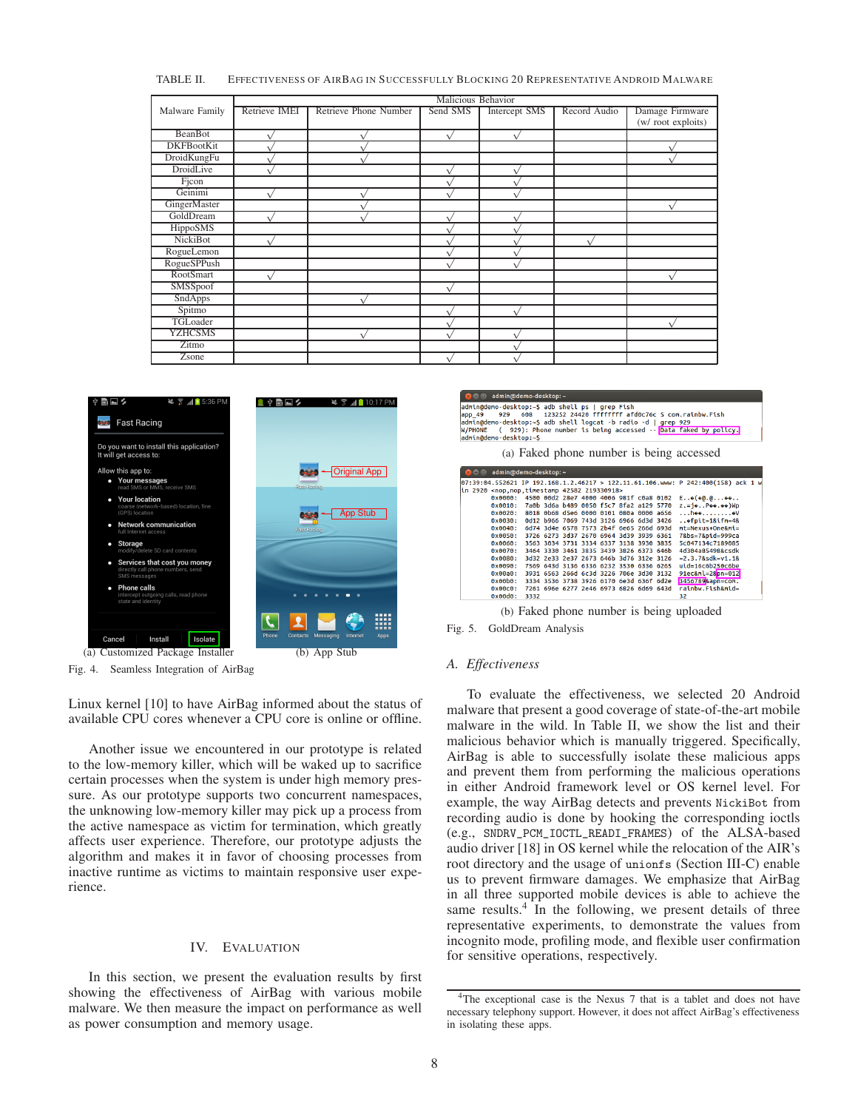| TABLE II. |  | EFFECTIVENESS OF AIRBAG IN SUCCESSFULLY BLOCKING 20 REPRESENTATIVE ANDROID MALWARE |  |  |  |
|-----------|--|------------------------------------------------------------------------------------|--|--|--|
|-----------|--|------------------------------------------------------------------------------------|--|--|--|

|                   | Malicious Behavior |                       |          |               |              |                    |  |  |
|-------------------|--------------------|-----------------------|----------|---------------|--------------|--------------------|--|--|
| Malware Family    | Retrieve IMEI      | Retrieve Phone Number | Send SMS | Intercept SMS | Record Audio | Damage Firmware    |  |  |
|                   |                    |                       |          |               |              | (w/ root exploits) |  |  |
| <b>BeanBot</b>    |                    |                       |          |               |              |                    |  |  |
| <b>DKFBootKit</b> |                    |                       |          |               |              |                    |  |  |
| DroidKungFu       |                    |                       |          |               |              |                    |  |  |
| DroidLive         |                    |                       |          |               |              |                    |  |  |
| Ficon             |                    |                       |          |               |              |                    |  |  |
| Geinimi           |                    |                       |          |               |              |                    |  |  |
| GingerMaster      |                    |                       |          |               |              |                    |  |  |
| GoldDream         |                    |                       |          |               |              |                    |  |  |
| HippoSMS          |                    |                       |          |               |              |                    |  |  |
| <b>NickiBot</b>   |                    |                       |          |               |              |                    |  |  |
| RogueLemon        |                    |                       |          |               |              |                    |  |  |
| RogueSPPush       |                    |                       |          |               |              |                    |  |  |
| <b>RootSmart</b>  |                    |                       |          |               |              |                    |  |  |
| SMSSpoof          |                    |                       |          |               |              |                    |  |  |
| SndApps           |                    |                       |          |               |              |                    |  |  |
| Spitmo            |                    |                       |          |               |              |                    |  |  |
| TGLoader          |                    |                       |          |               |              |                    |  |  |
| <b>YZHCSMS</b>    |                    |                       |          |               |              |                    |  |  |
| Zitmo             |                    |                       |          |               |              |                    |  |  |
| Zsone             |                    |                       |          |               |              |                    |  |  |



Fig. 4. Seamless Integration of AirBag

Linux kernel [10] to have AirBag informed about the status of available CPU cores whenever a CPU core is online or offline.

Another issue we encountered in our prototype is related to the low-memory killer, which will be waked up to sacrifice certain processes when the system is under high memory pressure. As our prototype supports two concurrent namespaces, the unknowing low-memory killer may pick up a process from the active namespace as victim for termination, which greatly affects user experience. Therefore, our prototype adjusts the algorithm and makes it in favor of choosing processes from inactive runtime as victims to maintain responsive user experience.

# IV. EVALUATION

In this section, we present the evaluation results by first showing the effectiveness of AirBag with various mobile malware. We then measure the impact on performance as well as power consumption and memory usage.

| admin@demo-desktop:~\$ adb shell ps   grep Fish<br>123252 24420 ffffffff afd0c76c S com.rainbw.Fish<br>app 49<br>929<br>608<br>admin@demo-desktop:~\$ adb shell logcat -b radio -d   grep 929<br>(929): Phone number is being accessed -- Data faked by policy.<br>W/PHONE<br>admin@demo-desktop:~\$ |                                                                       |  |  |  |  |                                         |  |                                                                                  |  |
|------------------------------------------------------------------------------------------------------------------------------------------------------------------------------------------------------------------------------------------------------------------------------------------------------|-----------------------------------------------------------------------|--|--|--|--|-----------------------------------------|--|----------------------------------------------------------------------------------|--|
|                                                                                                                                                                                                                                                                                                      |                                                                       |  |  |  |  |                                         |  | (a) Faked phone number is being accessed                                         |  |
| $x \ominus \oplus$                                                                                                                                                                                                                                                                                   | admin@demo-desktop:~                                                  |  |  |  |  |                                         |  |                                                                                  |  |
|                                                                                                                                                                                                                                                                                                      |                                                                       |  |  |  |  |                                         |  | 07:39:04.552621 IP 192.168.1.2.46217 > 122.11.61.106.www: P 242:400(158) ack 1 w |  |
|                                                                                                                                                                                                                                                                                                      | in 2920 <nop.nop.timestamp 219330918="" 42582=""></nop.nop.timestamp> |  |  |  |  |                                         |  |                                                                                  |  |
|                                                                                                                                                                                                                                                                                                      | 0x0000:                                                               |  |  |  |  | 4500 00d2 28e7 4000 4006 981f c0a8 0102 |  | $E \bullet (\bullet \emptyset \cdot \emptyset  \bullet \bullet $                 |  |
|                                                                                                                                                                                                                                                                                                      | 0x0010: 7a0b 3d6a b489 0050 f5c7 8fa2 a129 5770                       |  |  |  |  |                                         |  | $Z = i \cdot . P \cdot \cdot \cdot \cdot$                                        |  |
|                                                                                                                                                                                                                                                                                                      | 0x0020:                                                               |  |  |  |  | 8018 0b68 d5e6 0000 0101 080a 0000 a656 |  | heeeV                                                                            |  |
|                                                                                                                                                                                                                                                                                                      | 0x0030:                                                               |  |  |  |  | 0d12 b966 7069 743d 3126 6966 6d3d 3426 |  | +fpit=1&ifm=4&                                                                   |  |
|                                                                                                                                                                                                                                                                                                      | 0x0040:                                                               |  |  |  |  | 6d74 3d4e 6578 7573 2b4f 6e65 266d 693d |  | mt=Nexus+One&mi=                                                                 |  |
|                                                                                                                                                                                                                                                                                                      | 0x0050:                                                               |  |  |  |  | 3726 6273 3d37 2670 6964 3d39 3939 6361 |  | 7&bs=7&pid=999ca                                                                 |  |
|                                                                                                                                                                                                                                                                                                      | 0x0060:                                                               |  |  |  |  | 3563 3034 3731 3334 6337 3138 3930 3835 |  | 5c047134c7189085                                                                 |  |
|                                                                                                                                                                                                                                                                                                      | 0x0070:                                                               |  |  |  |  | 3464 3330 3461 3835 3439 3826 6373 646b |  | 4d304a85498&csdk                                                                 |  |
|                                                                                                                                                                                                                                                                                                      | 0x0080:                                                               |  |  |  |  | 3d32 2e33 2e37 2673 646b 3d76 312e 3126 |  | $= 2.3.78$ sdk=v1.18                                                             |  |
|                                                                                                                                                                                                                                                                                                      | 0x0090:                                                               |  |  |  |  | 7569 643d 3136 6336 6232 3530 6336 6265 |  | uid=16c6b250c6be                                                                 |  |
|                                                                                                                                                                                                                                                                                                      | 0x00a0:                                                               |  |  |  |  | 3931 6563 266d 6c3d 3226 706e 3d30 3132 |  | 91ec&ml=28pn=012                                                                 |  |
|                                                                                                                                                                                                                                                                                                      | $0x00b0$ :                                                            |  |  |  |  | 3334 3536 3738 3926 6170 6e3d 636f 6d2e |  | 3456789 & apn=com.                                                               |  |
|                                                                                                                                                                                                                                                                                                      |                                                                       |  |  |  |  | 7261 696e 6277 2e46 6973 6826 6d69 643d |  | rainbw.Fish∣=                                                                    |  |
|                                                                                                                                                                                                                                                                                                      | $0x00c0$ :                                                            |  |  |  |  |                                         |  | 32                                                                               |  |

## Fig. 5. GoldDream Analysis

## *A. Effectiveness*

To evaluate the effectiveness, we selected 20 Android malware that present a good coverage of state-of-the-art mobile malware in the wild. In Table II, we show the list and their malicious behavior which is manually triggered. Specifically, AirBag is able to successfully isolate these malicious apps and prevent them from performing the malicious operations in either Android framework level or OS kernel level. For example, the way AirBag detects and prevents NickiBot from recording audio is done by hooking the corresponding ioctls (e.g., SNDRV\_PCM\_IOCTL\_READI\_FRAMES) of the ALSA-based audio driver [18] in OS kernel while the relocation of the AIR's root directory and the usage of unionfs (Section III-C) enable us to prevent firmware damages. We emphasize that AirBag in all three supported mobile devices is able to achieve the same results. $4$  In the following, we present details of three representative experiments, to demonstrate the values from incognito mode, profiling mode, and flexible user confirmation for sensitive operations, respectively.

<sup>&</sup>lt;sup>4</sup>The exceptional case is the Nexus 7 that is a tablet and does not have necessary telephony support. However, it does not affect AirBag's effectiveness in isolating these apps.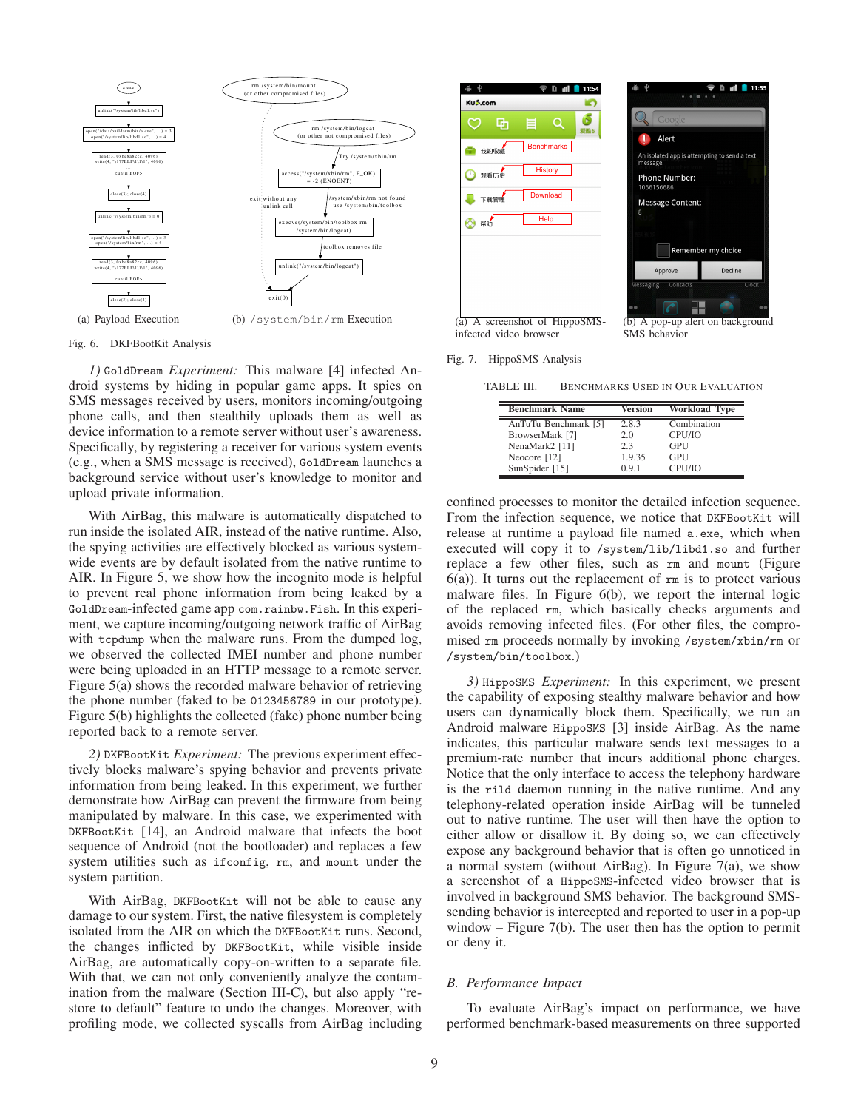



(b) /system/bin/rm Execution



*1)* GoldDream *Experiment:* This malware [4] infected Android systems by hiding in popular game apps. It spies on SMS messages received by users, monitors incoming/outgoing phone calls, and then stealthily uploads them as well as device information to a remote server without user's awareness. Specifically, by registering a receiver for various system events (e.g., when a SMS message is received), GoldDream launches a background service without user's knowledge to monitor and upload private information.

With AirBag, this malware is automatically dispatched to run inside the isolated AIR, instead of the native runtime. Also, the spying activities are effectively blocked as various systemwide events are by default isolated from the native runtime to AIR. In Figure 5, we show how the incognito mode is helpful to prevent real phone information from being leaked by a GoldDream-infected game app com.rainbw.Fish. In this experiment, we capture incoming/outgoing network traffic of AirBag with tcpdump when the malware runs. From the dumped log, we observed the collected IMEI number and phone number were being uploaded in an HTTP message to a remote server. Figure 5(a) shows the recorded malware behavior of retrieving the phone number (faked to be 0123456789 in our prototype). Figure 5(b) highlights the collected (fake) phone number being reported back to a remote server.

*2)* DKFBootKit *Experiment:* The previous experiment effectively blocks malware's spying behavior and prevents private information from being leaked. In this experiment, we further demonstrate how AirBag can prevent the firmware from being manipulated by malware. In this case, we experimented with DKFBootKit [14], an Android malware that infects the boot sequence of Android (not the bootloader) and replaces a few system utilities such as ifconfig, rm, and mount under the system partition.

With AirBag, DKFBootKit will not be able to cause any damage to our system. First, the native filesystem is completely isolated from the AIR on which the DKFBootKit runs. Second, the changes inflicted by DKFBootKit, while visible inside AirBag, are automatically copy-on-written to a separate file. With that, we can not only conveniently analyze the contamination from the malware (Section III-C), but also apply "restore to default" feature to undo the changes. Moreover, with profiling mode, we collected syscalls from AirBag including





(b) A pop-up alert on background

(a) A screenshot of HippoSMSinfected video browser

Fig. 7. HippoSMS Analysis

TABLE III. BENCHMARKS USED IN OUR EVALUATION

SMS behavior

| <b>Benchmark Name</b> | Version | <b>Workload Type</b> |
|-----------------------|---------|----------------------|
| AnTuTu Benchmark [5]  | 2.8.3   | Combination          |
| BrowserMark [7]       | 2.0     | CPU/IO               |
| NenaMark2 [11]        | 2.3     | GPU                  |
| Neocore [12]          | 1.9.35  | GPU                  |
| SunSpider [15]        | 0.9.1   | CPU/IO               |

confined processes to monitor the detailed infection sequence. From the infection sequence, we notice that DKFBootKit will release at runtime a payload file named a.exe, which when executed will copy it to /system/lib/libd1.so and further replace a few other files, such as rm and mount (Figure  $6(a)$ ). It turns out the replacement of  $r$ m is to protect various malware files. In Figure 6(b), we report the internal logic of the replaced rm, which basically checks arguments and avoids removing infected files. (For other files, the compromised rm proceeds normally by invoking /system/xbin/rm or /system/bin/toolbox.)

*3)* HippoSMS *Experiment:* In this experiment, we present the capability of exposing stealthy malware behavior and how users can dynamically block them. Specifically, we run an Android malware HippoSMS [3] inside AirBag. As the name indicates, this particular malware sends text messages to a premium-rate number that incurs additional phone charges. Notice that the only interface to access the telephony hardware is the rild daemon running in the native runtime. And any telephony-related operation inside AirBag will be tunneled out to native runtime. The user will then have the option to either allow or disallow it. By doing so, we can effectively expose any background behavior that is often go unnoticed in a normal system (without AirBag). In Figure 7(a), we show a screenshot of a HippoSMS-infected video browser that is involved in background SMS behavior. The background SMSsending behavior is intercepted and reported to user in a pop-up window – Figure  $7(b)$ . The user then has the option to permit or deny it.

#### *B. Performance Impact*

To evaluate AirBag's impact on performance, we have performed benchmark-based measurements on three supported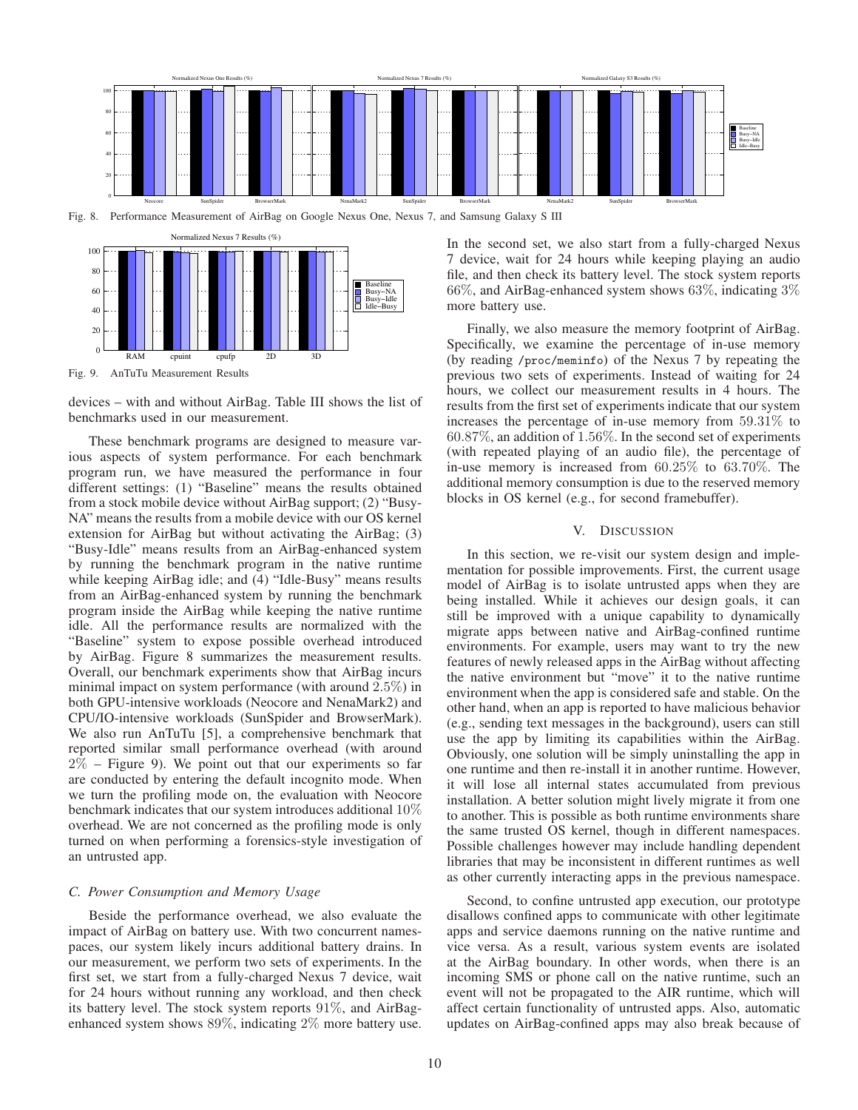

Fig. 8. Performance Measurement of AirBag on Google Nexus One, Nexus 7, and Samsung Galaxy S III



devices – with and without AirBag. Table III shows the list of benchmarks used in our measurement.

These benchmark programs are designed to measure various aspects of system performance. For each benchmark program run, we have measured the performance in four different settings: (1) "Baseline" means the results obtained from a stock mobile device without AirBag support; (2) "Busy-NA" means the results from a mobile device with our OS kernel extension for AirBag but without activating the AirBag; (3) "Busy-Idle" means results from an AirBag-enhanced system by running the benchmark program in the native runtime while keeping AirBag idle; and (4) "Idle-Busy" means results from an AirBag-enhanced system by running the benchmark program inside the AirBag while keeping the native runtime idle. All the performance results are normalized with the "Baseline" system to expose possible overhead introduced by AirBag. Figure 8 summarizes the measurement results. Overall, our benchmark experiments show that AirBag incurs minimal impact on system performance (with around 2.5%) in both GPU-intensive workloads (Neocore and NenaMark2) and CPU/IO-intensive workloads (SunSpider and BrowserMark). We also run AnTuTu [5], a comprehensive benchmark that reported similar small performance overhead (with around  $2\%$  – Figure 9). We point out that our experiments so far are conducted by entering the default incognito mode. When we turn the profiling mode on, the evaluation with Neocore benchmark indicates that our system introduces additional 10% overhead. We are not concerned as the profiling mode is only turned on when performing a forensics-style investigation of an untrusted app.

#### *C. Power Consumption and Memory Usage*

Beside the performance overhead, we also evaluate the impact of AirBag on battery use. With two concurrent namespaces, our system likely incurs additional battery drains. In our measurement, we perform two sets of experiments. In the first set, we start from a fully-charged Nexus 7 device, wait for 24 hours without running any workload, and then check its battery level. The stock system reports 91%, and AirBagenhanced system shows 89%, indicating 2% more battery use.

In the second set, we also start from a fully-charged Nexus 7 device, wait for 24 hours while keeping playing an audio file, and then check its battery level. The stock system reports  $66\%$ , and AirBag-enhanced system shows  $63\%$ , indicating  $3\%$ more battery use.

Finally, we also measure the memory footprint of AirBag. Specifically, we examine the percentage of in-use memory (by reading /proc/meminfo) of the Nexus 7 by repeating the previous two sets of experiments. Instead of waiting for 24 hours, we collect our measurement results in 4 hours. The results from the first set of experiments indicate that our system increases the percentage of in-use memory from 59.31% to 60.87%, an addition of 1.56%. In the second set of experiments (with repeated playing of an audio file), the percentage of in-use memory is increased from 60.25% to 63.70%. The additional memory consumption is due to the reserved memory blocks in OS kernel (e.g., for second framebuffer).

## V. DISCUSSION

In this section, we re-visit our system design and implementation for possible improvements. First, the current usage model of AirBag is to isolate untrusted apps when they are being installed. While it achieves our design goals, it can still be improved with a unique capability to dynamically migrate apps between native and AirBag-confined runtime environments. For example, users may want to try the new features of newly released apps in the AirBag without affecting the native environment but "move" it to the native runtime environment when the app is considered safe and stable. On the other hand, when an app is reported to have malicious behavior (e.g., sending text messages in the background), users can still use the app by limiting its capabilities within the AirBag. Obviously, one solution will be simply uninstalling the app in one runtime and then re-install it in another runtime. However, it will lose all internal states accumulated from previous installation. A better solution might lively migrate it from one to another. This is possible as both runtime environments share the same trusted OS kernel, though in different namespaces. Possible challenges however may include handling dependent libraries that may be inconsistent in different runtimes as well as other currently interacting apps in the previous namespace.

Second, to confine untrusted app execution, our prototype disallows confined apps to communicate with other legitimate apps and service daemons running on the native runtime and vice versa. As a result, various system events are isolated at the AirBag boundary. In other words, when there is an incoming SMS or phone call on the native runtime, such an event will not be propagated to the AIR runtime, which will affect certain functionality of untrusted apps. Also, automatic updates on AirBag-confined apps may also break because of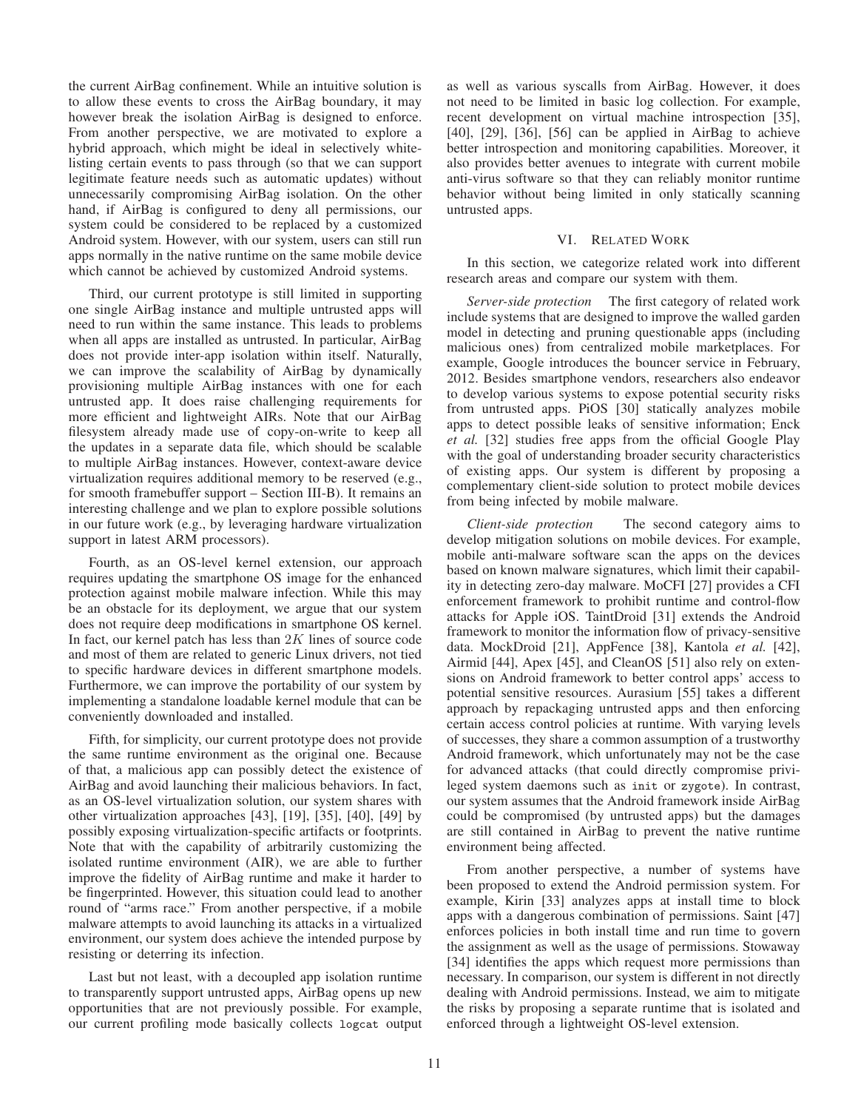the current AirBag confinement. While an intuitive solution is to allow these events to cross the AirBag boundary, it may however break the isolation AirBag is designed to enforce. From another perspective, we are motivated to explore a hybrid approach, which might be ideal in selectively whitelisting certain events to pass through (so that we can support legitimate feature needs such as automatic updates) without unnecessarily compromising AirBag isolation. On the other hand, if AirBag is configured to deny all permissions, our system could be considered to be replaced by a customized Android system. However, with our system, users can still run apps normally in the native runtime on the same mobile device which cannot be achieved by customized Android systems.

Third, our current prototype is still limited in supporting one single AirBag instance and multiple untrusted apps will need to run within the same instance. This leads to problems when all apps are installed as untrusted. In particular, AirBag does not provide inter-app isolation within itself. Naturally, we can improve the scalability of AirBag by dynamically provisioning multiple AirBag instances with one for each untrusted app. It does raise challenging requirements for more efficient and lightweight AIRs. Note that our AirBag filesystem already made use of copy-on-write to keep all the updates in a separate data file, which should be scalable to multiple AirBag instances. However, context-aware device virtualization requires additional memory to be reserved (e.g., for smooth framebuffer support – Section III-B). It remains an interesting challenge and we plan to explore possible solutions in our future work (e.g., by leveraging hardware virtualization support in latest ARM processors).

Fourth, as an OS-level kernel extension, our approach requires updating the smartphone OS image for the enhanced protection against mobile malware infection. While this may be an obstacle for its deployment, we argue that our system does not require deep modifications in smartphone OS kernel. In fact, our kernel patch has less than  $2K$  lines of source code and most of them are related to generic Linux drivers, not tied to specific hardware devices in different smartphone models. Furthermore, we can improve the portability of our system by implementing a standalone loadable kernel module that can be conveniently downloaded and installed.

Fifth, for simplicity, our current prototype does not provide the same runtime environment as the original one. Because of that, a malicious app can possibly detect the existence of AirBag and avoid launching their malicious behaviors. In fact, as an OS-level virtualization solution, our system shares with other virtualization approaches [43], [19], [35], [40], [49] by possibly exposing virtualization-specific artifacts or footprints. Note that with the capability of arbitrarily customizing the isolated runtime environment (AIR), we are able to further improve the fidelity of AirBag runtime and make it harder to be fingerprinted. However, this situation could lead to another round of "arms race." From another perspective, if a mobile malware attempts to avoid launching its attacks in a virtualized environment, our system does achieve the intended purpose by resisting or deterring its infection.

Last but not least, with a decoupled app isolation runtime to transparently support untrusted apps, AirBag opens up new opportunities that are not previously possible. For example, our current profiling mode basically collects logcat output as well as various syscalls from AirBag. However, it does not need to be limited in basic log collection. For example, recent development on virtual machine introspection [35], [40], [29], [36], [56] can be applied in AirBag to achieve better introspection and monitoring capabilities. Moreover, it also provides better avenues to integrate with current mobile anti-virus software so that they can reliably monitor runtime behavior without being limited in only statically scanning untrusted apps.

## VI. RELATED WORK

In this section, we categorize related work into different research areas and compare our system with them.

*Server-side protection* The first category of related work include systems that are designed to improve the walled garden model in detecting and pruning questionable apps (including malicious ones) from centralized mobile marketplaces. For example, Google introduces the bouncer service in February, 2012. Besides smartphone vendors, researchers also endeavor to develop various systems to expose potential security risks from untrusted apps. PiOS [30] statically analyzes mobile apps to detect possible leaks of sensitive information; Enck *et al.* [32] studies free apps from the official Google Play with the goal of understanding broader security characteristics of existing apps. Our system is different by proposing a complementary client-side solution to protect mobile devices from being infected by mobile malware.

*Client-side protection* The second category aims to develop mitigation solutions on mobile devices. For example, mobile anti-malware software scan the apps on the devices based on known malware signatures, which limit their capability in detecting zero-day malware. MoCFI [27] provides a CFI enforcement framework to prohibit runtime and control-flow attacks for Apple iOS. TaintDroid [31] extends the Android framework to monitor the information flow of privacy-sensitive data. MockDroid [21], AppFence [38], Kantola *et al.* [42], Airmid [44], Apex [45], and CleanOS [51] also rely on extensions on Android framework to better control apps' access to potential sensitive resources. Aurasium [55] takes a different approach by repackaging untrusted apps and then enforcing certain access control policies at runtime. With varying levels of successes, they share a common assumption of a trustworthy Android framework, which unfortunately may not be the case for advanced attacks (that could directly compromise privileged system daemons such as init or zygote). In contrast, our system assumes that the Android framework inside AirBag could be compromised (by untrusted apps) but the damages are still contained in AirBag to prevent the native runtime environment being affected.

From another perspective, a number of systems have been proposed to extend the Android permission system. For example, Kirin [33] analyzes apps at install time to block apps with a dangerous combination of permissions. Saint [47] enforces policies in both install time and run time to govern the assignment as well as the usage of permissions. Stowaway [34] identifies the apps which request more permissions than necessary. In comparison, our system is different in not directly dealing with Android permissions. Instead, we aim to mitigate the risks by proposing a separate runtime that is isolated and enforced through a lightweight OS-level extension.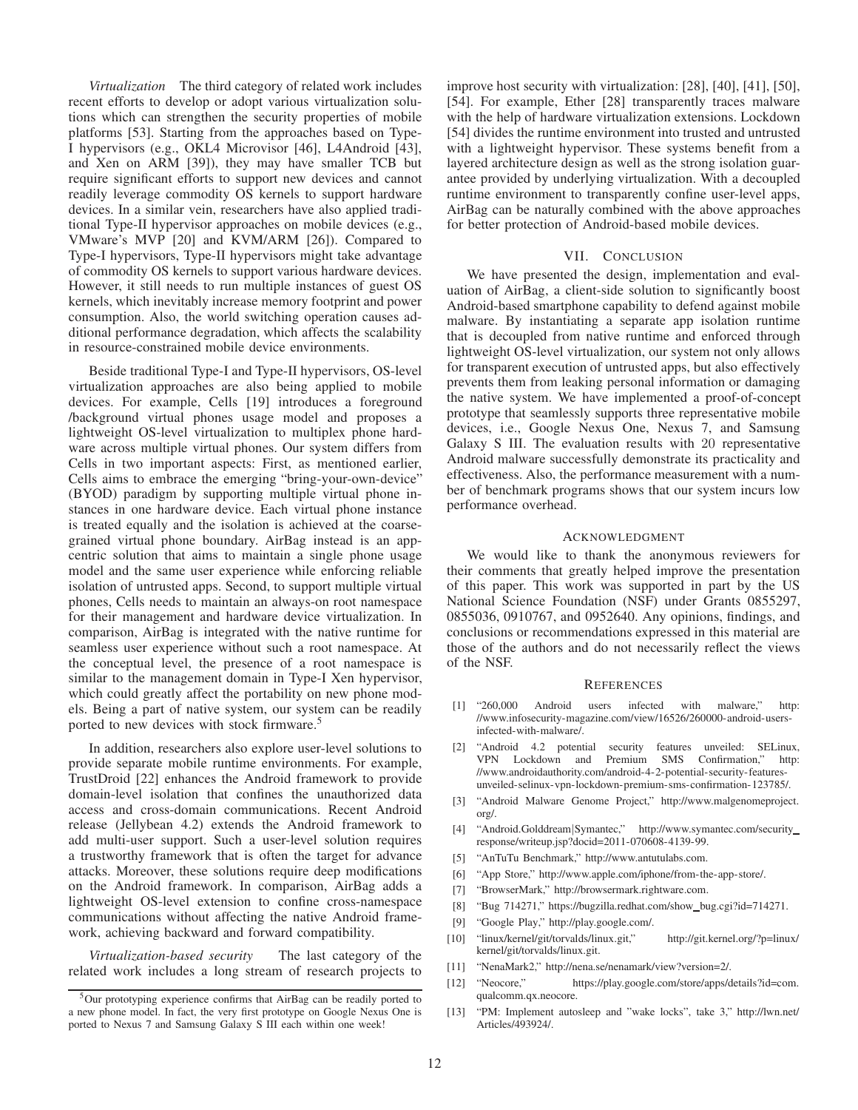*Virtualization* The third category of related work includes recent efforts to develop or adopt various virtualization solutions which can strengthen the security properties of mobile platforms [53]. Starting from the approaches based on Type-I hypervisors (e.g., OKL4 Microvisor [46], L4Android [43], and Xen on ARM [39]), they may have smaller TCB but require significant efforts to support new devices and cannot readily leverage commodity OS kernels to support hardware devices. In a similar vein, researchers have also applied traditional Type-II hypervisor approaches on mobile devices (e.g., VMware's MVP [20] and KVM/ARM [26]). Compared to Type-I hypervisors, Type-II hypervisors might take advantage of commodity OS kernels to support various hardware devices. However, it still needs to run multiple instances of guest OS kernels, which inevitably increase memory footprint and power consumption. Also, the world switching operation causes additional performance degradation, which affects the scalability in resource-constrained mobile device environments.

Beside traditional Type-I and Type-II hypervisors, OS-level virtualization approaches are also being applied to mobile devices. For example, Cells [19] introduces a foreground /background virtual phones usage model and proposes a lightweight OS-level virtualization to multiplex phone hardware across multiple virtual phones. Our system differs from Cells in two important aspects: First, as mentioned earlier, Cells aims to embrace the emerging "bring-your-own-device" (BYOD) paradigm by supporting multiple virtual phone instances in one hardware device. Each virtual phone instance is treated equally and the isolation is achieved at the coarsegrained virtual phone boundary. AirBag instead is an appcentric solution that aims to maintain a single phone usage model and the same user experience while enforcing reliable isolation of untrusted apps. Second, to support multiple virtual phones, Cells needs to maintain an always-on root namespace for their management and hardware device virtualization. In comparison, AirBag is integrated with the native runtime for seamless user experience without such a root namespace. At the conceptual level, the presence of a root namespace is similar to the management domain in Type-I Xen hypervisor, which could greatly affect the portability on new phone models. Being a part of native system, our system can be readily ported to new devices with stock firmware.<sup>5</sup>

In addition, researchers also explore user-level solutions to provide separate mobile runtime environments. For example, TrustDroid [22] enhances the Android framework to provide domain-level isolation that confines the unauthorized data access and cross-domain communications. Recent Android release (Jellybean 4.2) extends the Android framework to add multi-user support. Such a user-level solution requires a trustworthy framework that is often the target for advance attacks. Moreover, these solutions require deep modifications on the Android framework. In comparison, AirBag adds a lightweight OS-level extension to confine cross-namespace communications without affecting the native Android framework, achieving backward and forward compatibility.

*Virtualization-based security* The last category of the related work includes a long stream of research projects to improve host security with virtualization: [28], [40], [41], [50], [54]. For example, Ether [28] transparently traces malware with the help of hardware virtualization extensions. Lockdown [54] divides the runtime environment into trusted and untrusted with a lightweight hypervisor. These systems benefit from a layered architecture design as well as the strong isolation guarantee provided by underlying virtualization. With a decoupled runtime environment to transparently confine user-level apps, AirBag can be naturally combined with the above approaches for better protection of Android-based mobile devices.

## VII. CONCLUSION

We have presented the design, implementation and evaluation of AirBag, a client-side solution to significantly boost Android-based smartphone capability to defend against mobile malware. By instantiating a separate app isolation runtime that is decoupled from native runtime and enforced through lightweight OS-level virtualization, our system not only allows for transparent execution of untrusted apps, but also effectively prevents them from leaking personal information or damaging the native system. We have implemented a proof-of-concept prototype that seamlessly supports three representative mobile devices, i.e., Google Nexus One, Nexus 7, and Samsung Galaxy S III. The evaluation results with 20 representative Android malware successfully demonstrate its practicality and effectiveness. Also, the performance measurement with a number of benchmark programs shows that our system incurs low performance overhead.

#### ACKNOWLEDGMENT

We would like to thank the anonymous reviewers for their comments that greatly helped improve the presentation of this paper. This work was supported in part by the US National Science Foundation (NSF) under Grants 0855297, 0855036, 0910767, and 0952640. Any opinions, findings, and conclusions or recommendations expressed in this material are those of the authors and do not necessarily reflect the views of the NSF.

#### **REFERENCES**

- [1] "260,000 Android users infected with malware," http: //www.infosecurity-magazine.com/view/16526/260000-android-usersinfected-with-malware/.
- [2] "Android 4.2 potential security features unveiled: SELinux, VPN Lockdown and Premium SMS Confirmation," http: //www.androidauthority.com/android-4-2-potential-security-featuresunveiled-selinux-vpn-lockdown-premium-sms-confirmation-123785/.
- [3] "Android Malware Genome Project," http://www.malgenomeproject. org/.
- [4] "Android.Golddream|Symantec," http://www.symantec.com/security response/writeup.jsp?docid=2011-070608-4139-99.
- [5] "AnTuTu Benchmark," http://www.antutulabs.com.
- [6] "App Store," http://www.apple.com/iphone/from-the-app-store/.
- [7] "BrowserMark," http://browsermark.rightware.com.
- [8] "Bug 714271," https://bugzilla.redhat.com/show bug.cgi?id=714271.
- [9] "Google Play," http://play.google.com/.
- [10] "linux/kernel/git/torvalds/linux.git," http://git.kernel.org/?p=linux/ kernel/git/torvalds/linux.git.
- [11] "NenaMark2," http://nena.se/nenamark/view?version=2/.
- [12] "Neocore," https://play.google.com/store/apps/details?id=com. qualcomm.qx.neocore.
- [13] "PM: Implement autosleep and "wake locks", take 3," http://lwn.net/ Articles/493924/.

 $5$ Our prototyping experience confirms that AirBag can be readily ported to a new phone model. In fact, the very first prototype on Google Nexus One is ported to Nexus 7 and Samsung Galaxy S III each within one week!